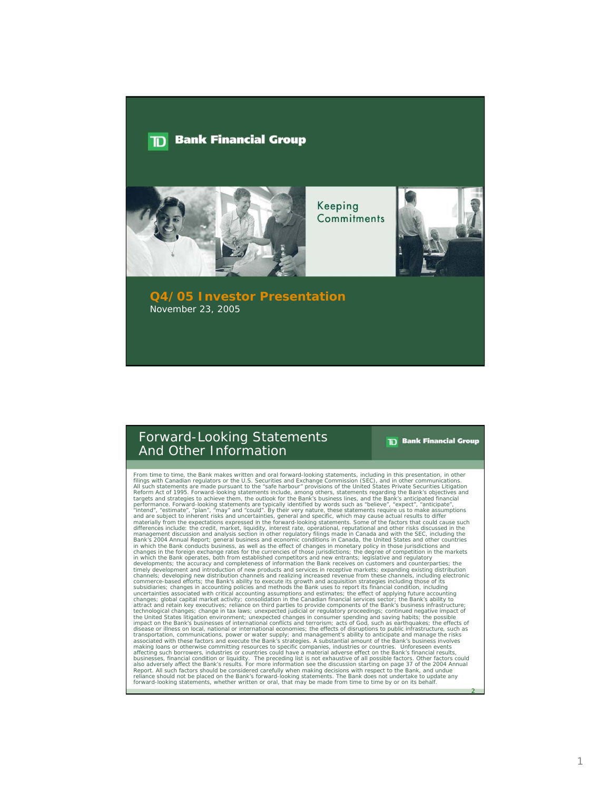#### **Bank Financial Group**  $\mathbf{D}$



Keeping Commitments



## **Q4/05 Investor Presentation** November 23, 2005

# Forward-Looking Statements And Other Information

**TD** Bank Financial Group

2

From time to time, the Bank makes written and oral forward-looking statements, including in this presentation, in other<br>fillings with Canadian regulators or the U.S. Securities and Exchange Commission (SEC), and in other c differences include: the credit, market, liquidity, interest rate, operational, reputational and other risks discussed in the<br>management discussion and analysis section in other regulatory filings made in Canada and with t in which the Bank operates, both from established competitors and new entrants; legislative and regulatory<br>developments; the accuracy and completeness of information the Bank receives on customers and counterparties; the<br>t channels; developing new distribution channels and realizing increased revenue from these channels, including electronic<br>commerce-based efforts; the Bank's ability to execute its growth and acquisition strategies including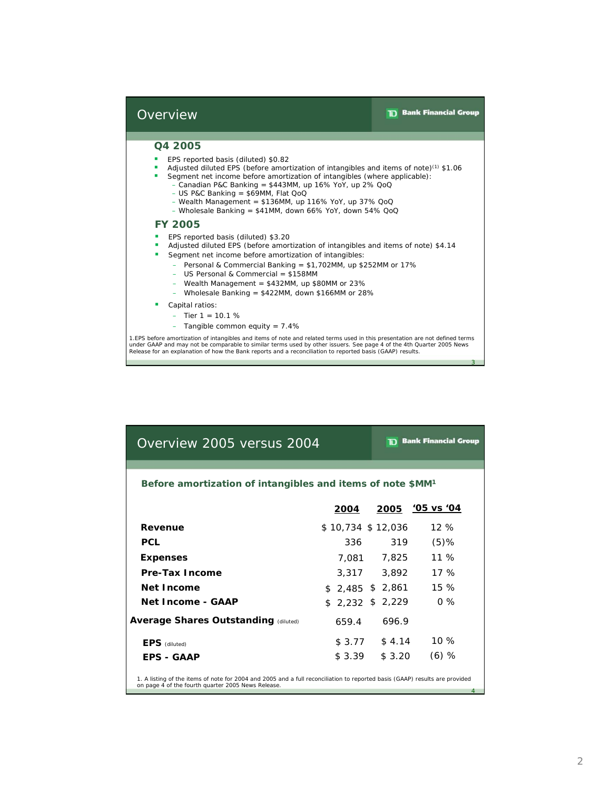3

## **Overview**

# **Q4 2005**

- EPS reported basis (diluted) \$0.82 ٠
- Adjusted diluted EPS (before amortization of intangibles and items of note)<sup>(1)</sup> \$1.06 F
- **Segment net income before amortization of intangibles (where applicable):** 
	- $-$  Canadian P&C Banking = \$443MM, up 16% YoY, up 2% QoQ
	- $-$  US P&C Banking = \$69MM, Flat QoQ
	- $-$  Wealth Management = \$136MM, up 116% YoY, up 37% QoQ
	- Wholesale Banking = \$41MM, down 66% YoY, down 54% QoQ

# **FY 2005**

- **EPS reported basis (diluted) \$3.20**
- Adjusted diluted EPS (before amortization of intangibles and items of note) \$4.14 ŗ
- **Segment net income before amortization of intangibles:** 
	- Personal & Commercial Banking = \$1,702MM, up \$252MM or 17%
	- US Personal & Commercial = \$158MM
	- $-$  Wealth Management = \$432MM, up \$80MM or 23%
	- Wholesale Banking = \$422MM, down \$166MM or 28%
- **Capital ratios:** 
	- $-$  Tier 1 = 10.1 %
	- Tangible common equity = 7.4%

1.EPS before amortization of intangibles and items of note and related terms used in this presentation are not defined terms under GAAP and may not be comparable to similar terms used by other issuers. See page 4 of the 4th Quarter 2005 News Release for an explanation of how the Bank reports and a reconciliation to reported basis (GAAP) results.

| Overview 2005 versus 2004                                                                                                   |                   | <b>The Bank Financial Group</b> |                 |  |  |  |
|-----------------------------------------------------------------------------------------------------------------------------|-------------------|---------------------------------|-----------------|--|--|--|
| Before amortization of intangibles and items of note \$MM <sup>1</sup>                                                      |                   |                                 |                 |  |  |  |
|                                                                                                                             | 2004              |                                 | 2005 '05 vs '04 |  |  |  |
| Revenue                                                                                                                     | \$10,734 \$12,036 |                                 | $12\%$          |  |  |  |
| <b>PCL</b>                                                                                                                  | 336               | 319                             | $(5)$ %         |  |  |  |
| <b>Expenses</b>                                                                                                             | 7.081             | 7,825                           | $11\%$          |  |  |  |
| <b>Pre-Tax Income</b>                                                                                                       | 3,317             | 3,892                           | 17%             |  |  |  |
| Net Income                                                                                                                  | \$.               | 2,485 \$ 2,861                  | 15 %            |  |  |  |
| Net Income - GAAP                                                                                                           | 2,232<br>\$.      | \$2,229                         | $0\%$           |  |  |  |
| <b>Average Shares Outstanding (diluted)</b>                                                                                 | 659.4             | 696.9                           |                 |  |  |  |
| $EPS$ (diluted)                                                                                                             | \$3.77            | \$4.14                          | 10 $%$          |  |  |  |
| <b>FPS - GAAP</b>                                                                                                           | \$3.39            | \$3.20                          | $(6)$ %         |  |  |  |
| 1. A listing of the items of note for 2004 and 2005 and a full reconciliation to reported basis (GAAP) results are provided |                   |                                 |                 |  |  |  |
| on page 4 of the fourth quarter 2005 News Release.                                                                          |                   |                                 | 4               |  |  |  |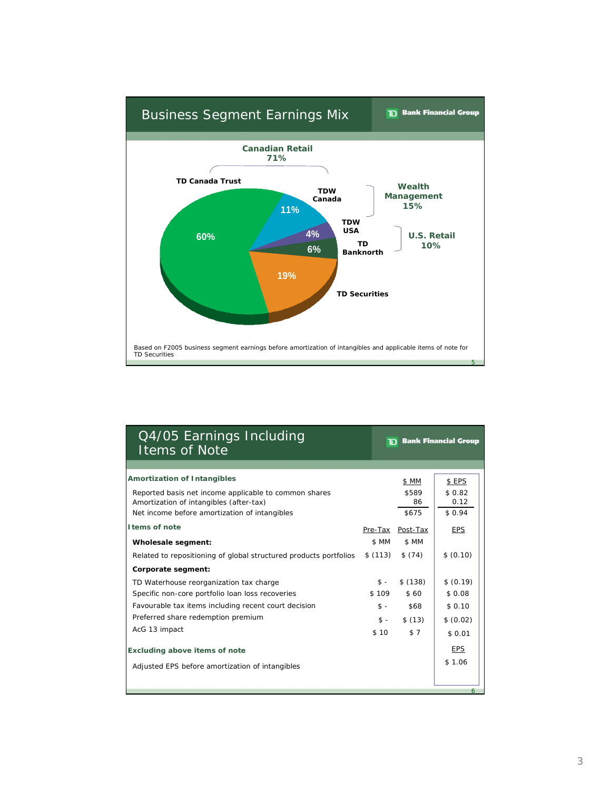

| Q4/05 Earnings Including<br><b>Items of Note</b>                                                 |         |                  | <b>The Bank Financial Group</b> |
|--------------------------------------------------------------------------------------------------|---------|------------------|---------------------------------|
|                                                                                                  |         |                  |                                 |
| <b>Amortization of Intangibles</b>                                                               |         | \$ MM            | \$ EPS                          |
| Reported basis net income applicable to common shares<br>Amortization of intangibles (after-tax) |         | \$589<br>86      | \$0.82<br>0.12                  |
| Net income before amortization of intangibles                                                    |         | \$675            | \$0.94                          |
| <b>Items of note</b>                                                                             |         | Pre-Tax Post-Tax | <b>EPS</b>                      |
| Wholesale segment:                                                                               | \$ MM   | \$ MM            |                                 |
| Related to repositioning of global structured products portfolios                                | \$(113) | \$(74)           | \$ (0.10)                       |
| Corporate segment:                                                                               |         |                  |                                 |
| TD Waterhouse reorganization tax charge                                                          | $s -$   | \$(138)          | \$ (0.19)                       |
| Specific non-core portfolio loan loss recoveries                                                 | \$109   | \$60             | \$ 0.08                         |
| Favourable tax items including recent court decision                                             | $$ -$   | \$68             | \$0.10                          |
| Preferred share redemption premium                                                               | $s -$   | \$(13)           | \$ (0.02)                       |
| AcG 13 impact                                                                                    | \$10    | \$7              | \$0.01                          |
| <b>Excluding above items of note</b>                                                             |         |                  | <b>EPS</b>                      |
| Adjusted EPS before amortization of intangibles                                                  |         |                  | \$1.06                          |
|                                                                                                  |         |                  |                                 |
|                                                                                                  |         |                  | 6                               |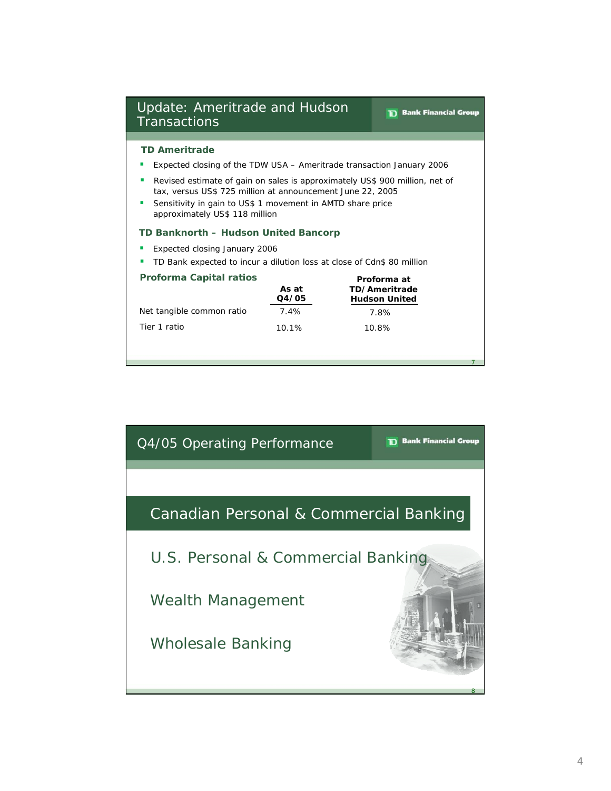| Update: Ameritrade and Hudson<br><b>Transactions</b>                                                                                                                                                                                           | <b>Bank Financial Group</b><br>הד |  |  |  |  |
|------------------------------------------------------------------------------------------------------------------------------------------------------------------------------------------------------------------------------------------------|-----------------------------------|--|--|--|--|
|                                                                                                                                                                                                                                                |                                   |  |  |  |  |
| <b>TD Ameritrade</b>                                                                                                                                                                                                                           |                                   |  |  |  |  |
| Expected closing of the TDW USA – Ameritrade transaction January 2006                                                                                                                                                                          |                                   |  |  |  |  |
| Revised estimate of gain on sales is approximately US\$ 900 million, net of<br>ш<br>tax, versus US\$ 725 million at announcement June 22, 2005<br>Sensitivity in gain to US\$ 1 movement in AMTD share price<br>approximately US\$ 118 million |                                   |  |  |  |  |
| TD Banknorth - Hudson United Bancorp                                                                                                                                                                                                           |                                   |  |  |  |  |
| Expected closing January 2006                                                                                                                                                                                                                  |                                   |  |  |  |  |
| TD Bank expected to incur a dilution loss at close of Cdn\$ 80 million                                                                                                                                                                         |                                   |  |  |  |  |
| <b>Proforma Capital ratios</b><br>Proforma at<br>As at<br>TD/Ameritrade<br>Q4/05<br><b>Hudson United</b>                                                                                                                                       |                                   |  |  |  |  |
| Net tangible common ratio<br>7.4%<br>7.8%                                                                                                                                                                                                      |                                   |  |  |  |  |
| Tier 1 ratio<br>10.1%<br>10.8%                                                                                                                                                                                                                 |                                   |  |  |  |  |
|                                                                                                                                                                                                                                                |                                   |  |  |  |  |

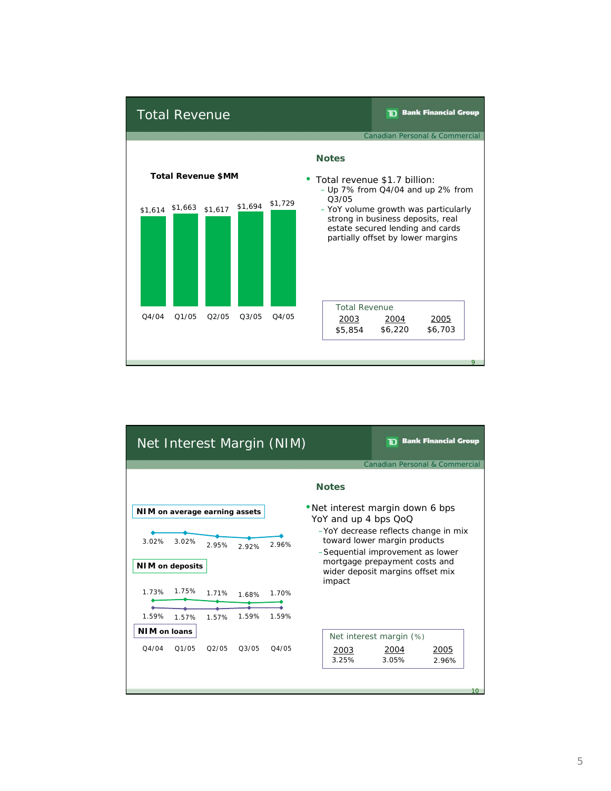

| Net Interest Margin (NIM)                |       |                    |       |                                                                                                                                                                   |                         | <b>Bank Financial Group</b>    |    |
|------------------------------------------|-------|--------------------|-------|-------------------------------------------------------------------------------------------------------------------------------------------------------------------|-------------------------|--------------------------------|----|
|                                          |       |                    |       |                                                                                                                                                                   |                         | Canadian Personal & Commercial |    |
|                                          |       |                    |       | <b>Notes</b>                                                                                                                                                      |                         |                                |    |
| NIM on average earning assets            |       |                    |       | • Net interest margin down 6 bps                                                                                                                                  |                         |                                |    |
| 3.02%<br>3.02%<br><b>NIM</b> on deposits | 2.95% | 2.92%              | 2.96% | YoY and up 4 bps QoQ<br>-YoY decrease reflects change in mix<br>toward lower margin products<br>-Sequential improvement as lower<br>mortgage prepayment costs and |                         |                                |    |
|                                          |       |                    |       | wider deposit margins offset mix<br>impact                                                                                                                        |                         |                                |    |
| 1.75%<br>1.73%                           | 1.71% | 1.68%              | 1.70% |                                                                                                                                                                   |                         |                                |    |
| 1.59%<br>1.57%                           | 1.57% | 1.59%              | 1.59% |                                                                                                                                                                   |                         |                                |    |
| <b>NIM on loans</b>                      |       |                    |       |                                                                                                                                                                   | Net interest margin (%) |                                |    |
| 04/04<br>O1/05                           | O2/05 | O <sub>3</sub> /05 | 04/05 | 2003<br>3.25%                                                                                                                                                     | 2004<br>3.05%           | 2005<br>2.96%                  |    |
|                                          |       |                    |       |                                                                                                                                                                   |                         |                                | 10 |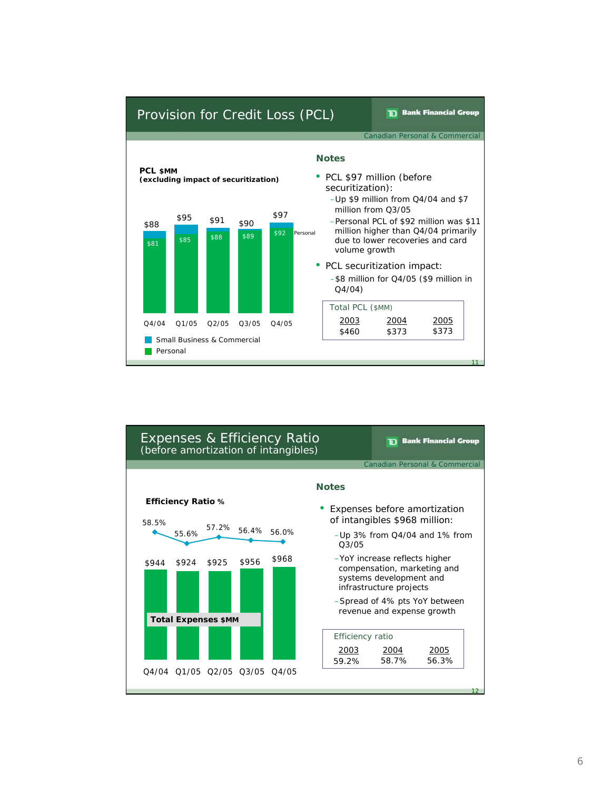

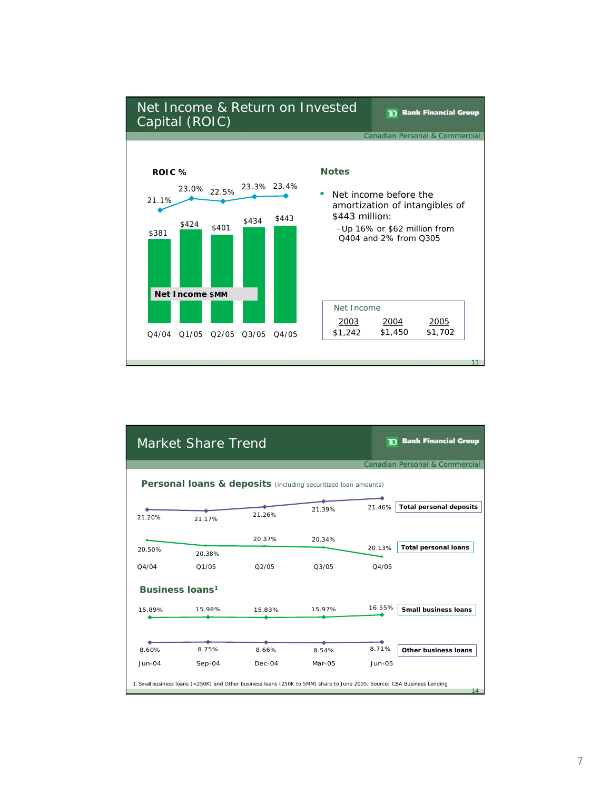

|          | Market Share Trend                                                                                                      |          |                                | הד            | <b>Bank Financial Group</b>    |
|----------|-------------------------------------------------------------------------------------------------------------------------|----------|--------------------------------|---------------|--------------------------------|
|          |                                                                                                                         |          |                                |               | Canadian Personal & Commercial |
|          | Personal loans & deposits (including securitized loan amounts)                                                          |          |                                |               |                                |
| 21.20%   | 21.17%                                                                                                                  | 21.26%   | 21.39%                         | 21.46%        | <b>Total personal deposits</b> |
|          |                                                                                                                         | 20.37%   | 20.34%                         |               |                                |
| 20.50%   | 20.38%                                                                                                                  |          |                                | 20.13%        | <b>Total personal loans</b>    |
| Q4/04    | Q1/05                                                                                                                   | O2/05    | O <sub>3</sub> /O <sub>5</sub> | O4/05         |                                |
|          | <b>Business loans1</b>                                                                                                  |          |                                |               |                                |
| 15.89%   | 15.98%                                                                                                                  | 15.83%   | 15.97%                         | 16.55%        | <b>Small business loans</b>    |
|          |                                                                                                                         |          |                                |               |                                |
| 8.60%    | 8.75%                                                                                                                   | 8.66%    | 8.54%                          | 8.71%         | Other business loans           |
| $Jun-04$ | $Sep-04$                                                                                                                | $Dec-04$ | Mar-05                         | <b>Jun-05</b> |                                |
|          | 1. Small business loans (<250K) and Other business loans (250K to 5MM) share to June 2005. Source: CBA Business Lending |          |                                |               | 14                             |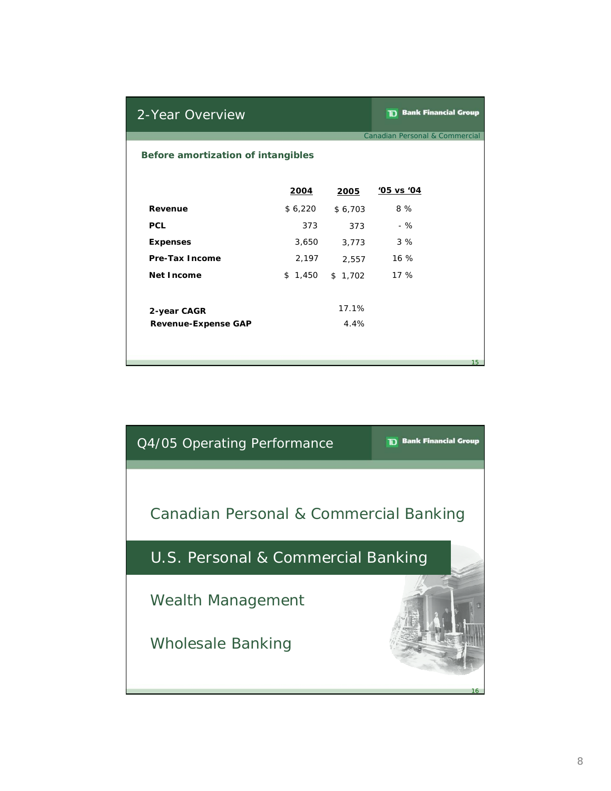| 2-Year Overview                    |             |         | <b>TD</b> Bank Financial Group |  |  |
|------------------------------------|-------------|---------|--------------------------------|--|--|
|                                    |             |         | Canadian Personal & Commercial |  |  |
| Before amortization of intangibles |             |         |                                |  |  |
|                                    | <u>2004</u> | 2005    | '05 vs '04                     |  |  |
| Revenue                            | \$6,220     | \$6,703 | 8 %                            |  |  |
| <b>PCL</b>                         | 373         | 373     | - %                            |  |  |
| <b>Expenses</b>                    | 3,650       | 3,773   | 3%                             |  |  |
| <b>Pre-Tax Income</b>              | 2,197       | 2,557   | 16%                            |  |  |
| Net Income                         | \$1,450     | \$1,702 | 17 %                           |  |  |
| 2-year CAGR                        |             | 17.1%   |                                |  |  |
| <b>Revenue-Expense GAP</b>         |             | 4.4%    |                                |  |  |
|                                    |             |         |                                |  |  |
|                                    |             |         | 15                             |  |  |

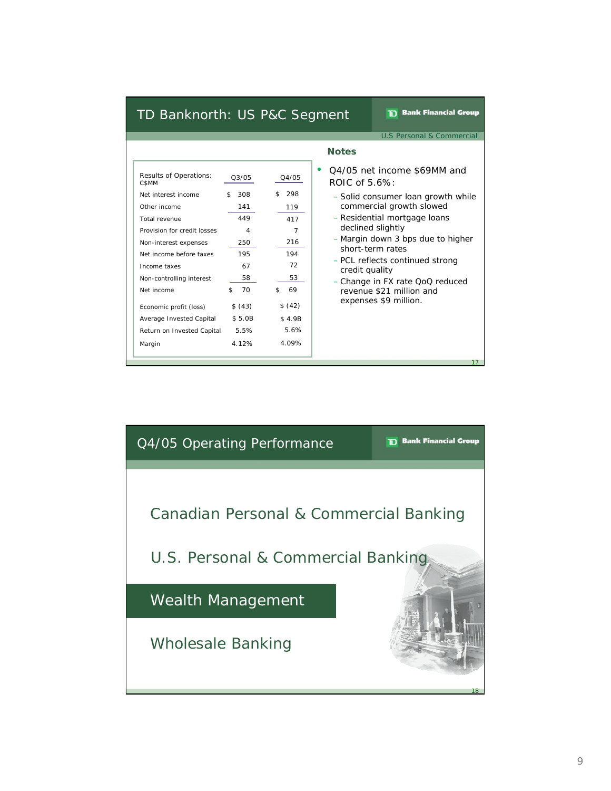# TD Banknorth: US P&C Segment

**TD** Bank Financial Group

U.S Personal & Commercial

| Results of Operations:<br>C\$MM | 03/05     | 04/05     |
|---------------------------------|-----------|-----------|
| Net interest income             | \$<br>308 | \$<br>298 |
| Other income                    | 141       | 119       |
| Total revenue                   | 449       | 417       |
| Provision for credit losses     | 4         | 7         |
| Non-interest expenses           | 250       | 216       |
| Net income before taxes         | 195       | 194       |
| Income taxes                    | 67        | 72        |
| Non-controlling interest        | 58        | 53        |
| Net income                      | \$<br>70  | 69<br>\$  |
| Economic profit (loss)          | \$ (43)   | \$ (42)   |
| Average Invested Capital        | \$5.0B    | \$4.9B    |
| Return on Invested Capital      | 5.5%      | 5.6%      |
| Margin                          | 4 1 2%    | 4.09%     |

## **Notes**

- Q3/05 Q4/05 net income \$69MM and ROIC of 5.6%:
	- Solid consumer loan growth while commercial growth slowed
	- Residential mortgage loans declined slightly
	- Margin down 3 bps due to higher short-term rates
	- PCL reflects continued strong credit quality
	- Change in FX rate QoQ reduced revenue \$21 million and expenses \$9 million.

17

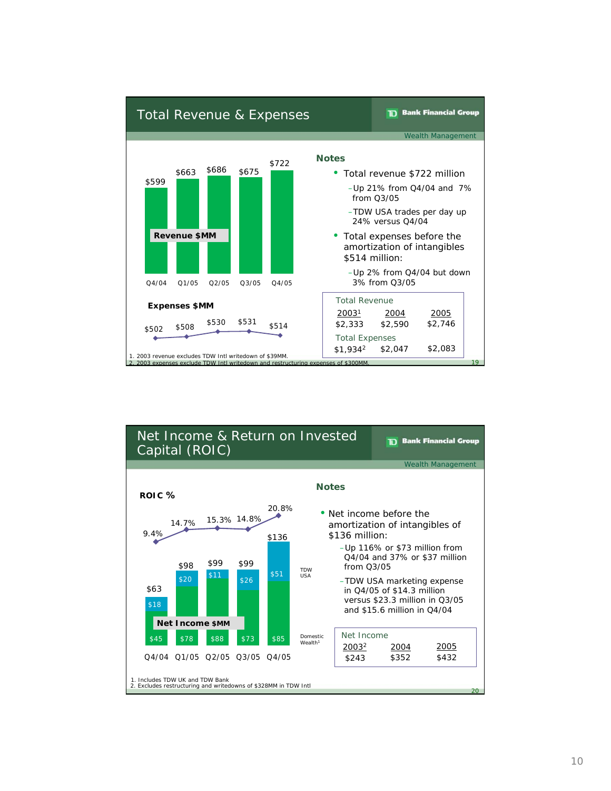

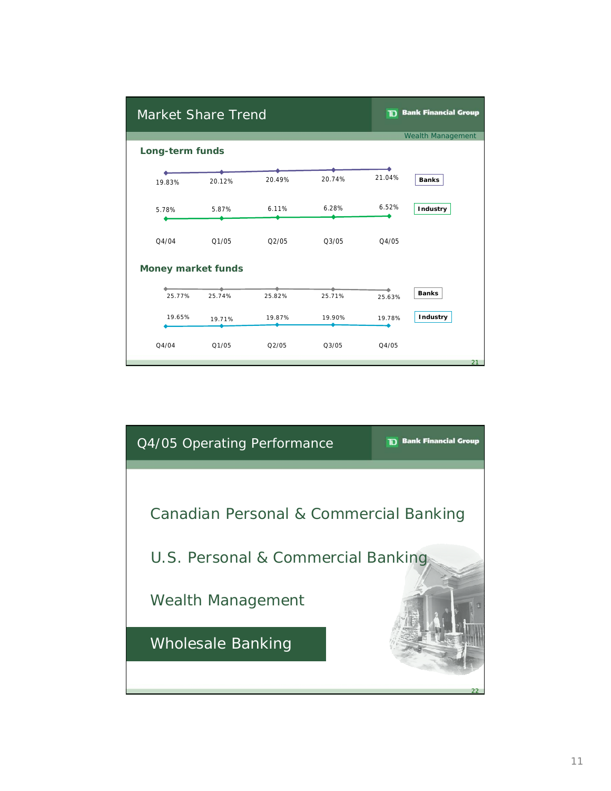| <b>Market Share Trend</b> |        |        |        |        | <b>TD</b> Bank Financial Group |
|---------------------------|--------|--------|--------|--------|--------------------------------|
|                           |        |        |        |        | <b>Wealth Management</b>       |
| Long-term funds           |        |        |        |        |                                |
|                           |        |        |        |        |                                |
| 19.83%                    | 20.12% | 20.49% | 20.74% | 21.04% | <b>Banks</b>                   |
| 5.78%                     | 5.87%  | 6.11%  | 6.28%  | 6.52%  | Industry                       |
| Q4/04                     | 01/05  | 02/05  | 03/05  | Q4/05  |                                |
| <b>Money market funds</b> |        |        |        |        |                                |
| 25.77%                    | 25.74% | 25.82% | 25.71% | 25.63% | <b>Banks</b>                   |
| 19.65%                    | 19.71% | 19.87% | 19.90% | 19.78% | <b>Industry</b>                |
| Q4/04                     | Q1/05  | Q2/05  | Q3/05  | Q4/05  |                                |
|                           |        |        |        |        | 21                             |

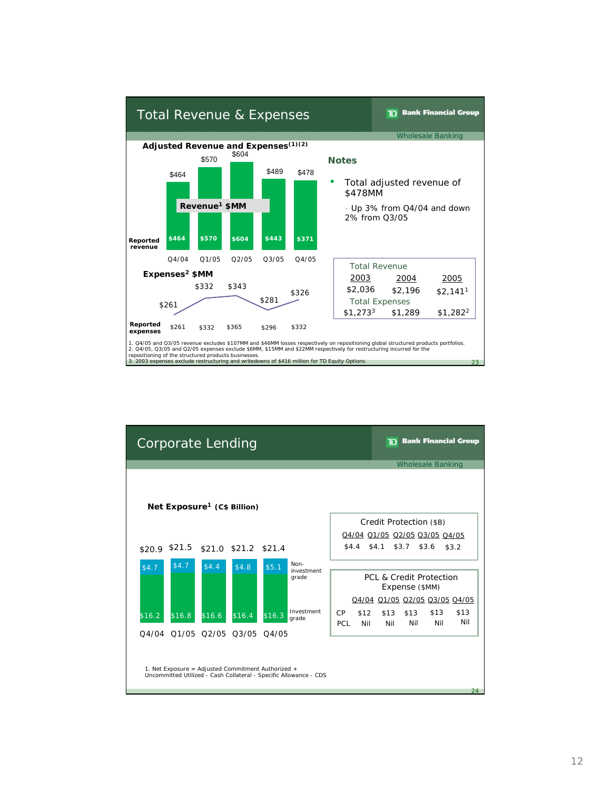

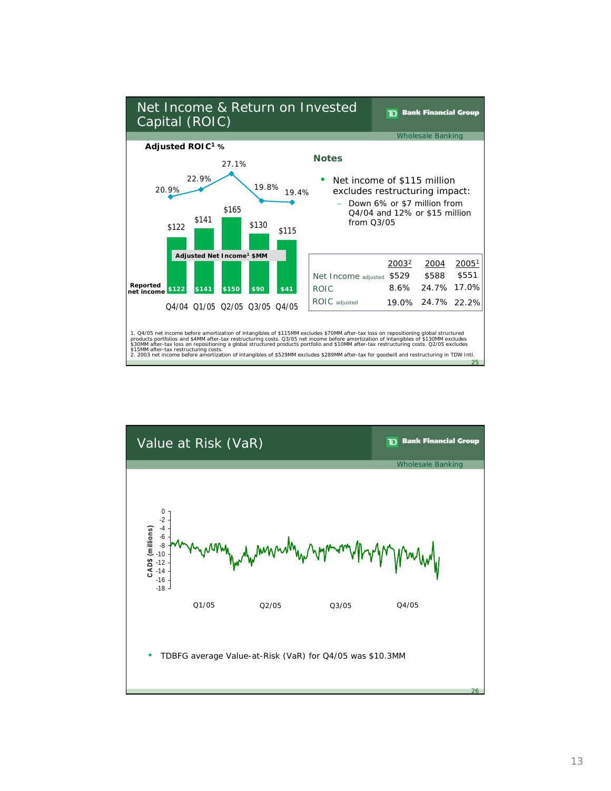